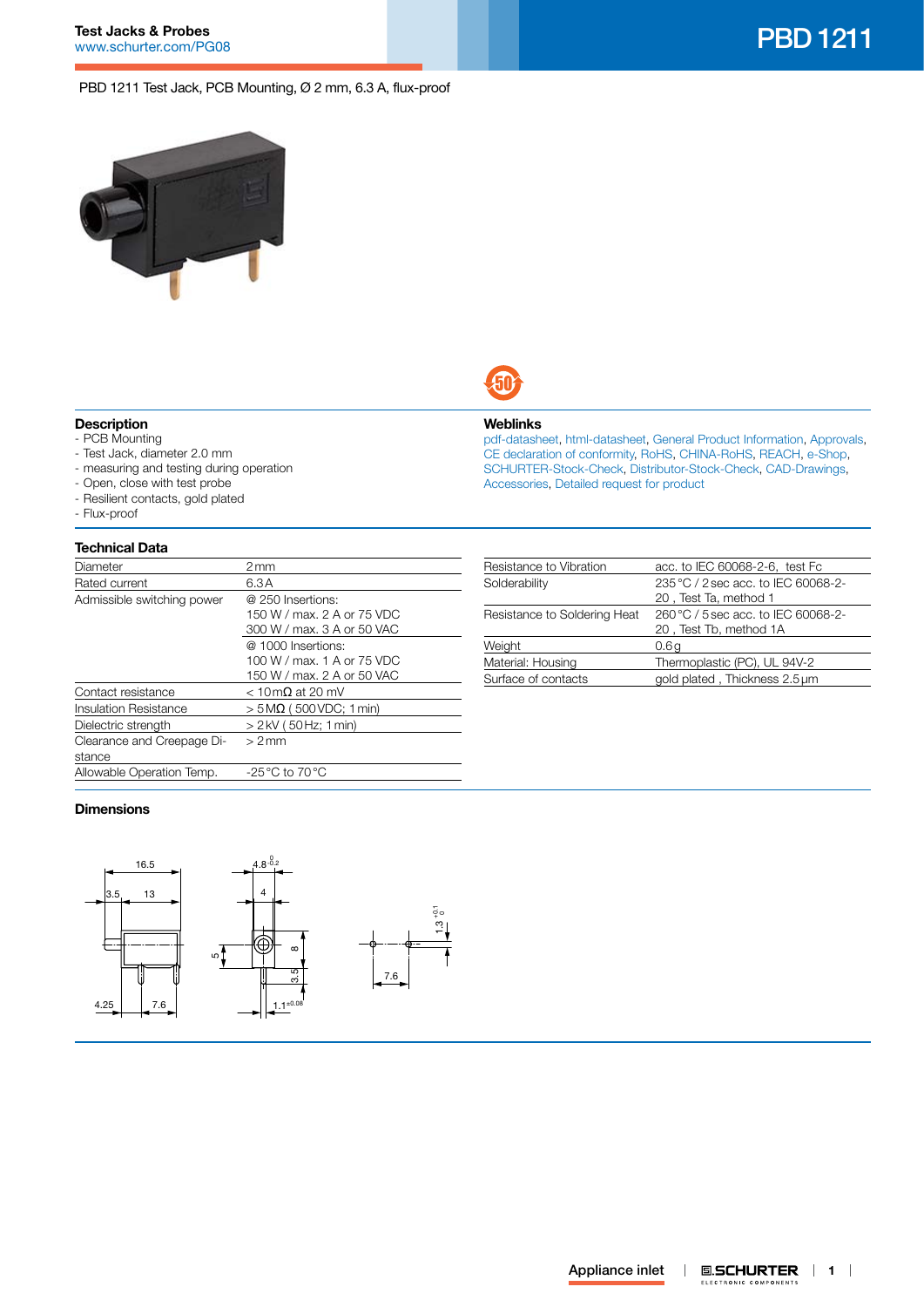# **Test Jacks & Probes**

# PBD 1211 Test Jack, PCB Mounting, Ø 2 mm, 6.3 A, flux-proof





# **Description**

- PCB Mounting
- Test Jack, diameter 2.0 mm
- measuring and testing during operation
- Open, close with test probe
- Resilient contacts, gold plated
- Flux-proof

### **Technical Data**

| Diameter                             | 2 mm                                                                           |  |
|--------------------------------------|--------------------------------------------------------------------------------|--|
| Rated current                        | 6.3A                                                                           |  |
| Admissible switching power           | @ 250 Insertions:<br>150 W / max, 2 A or 75 VDC<br>300 W / max, 3 A or 50 VAC  |  |
|                                      | @ 1000 Insertions:<br>100 W / max, 1 A or 75 VDC<br>150 W / max. 2 A or 50 VAC |  |
| Contact resistance                   | $<$ 10 m $\Omega$ at 20 mV                                                     |  |
| Insulation Resistance                | $>$ 5 M $\Omega$ (500 VDC: 1 min)                                              |  |
| Dielectric strength                  | > 2 kV (50 Hz; 1 min)                                                          |  |
| Clearance and Creepage Di-<br>stance | $> 2$ mm                                                                       |  |
| Allowable Operation Temp.            | $-25\,^{\circ}\text{C}$ to 70 $^{\circ}\text{C}$                               |  |

# **Weblinks**

[pdf-datasheet](http://www.schurter.ch/pdf/english/typ_PBD_1211.pdf), [html-datasheet](http://www.schurter.ch/en/datasheet/PBD%201211), [General Product Information,](http://www.schurter.ch/products/iec_connector_overview.asp) [Approvals](http://www.schurter.ch/en/Documents-References/Approvals/(id)/PBD), [CE declaration of conformity,](http://www.schurter.com/en/Documents-References/Approvals/(id)/PBD+AND+FIELD+CertificationInstitute=SAG) [RoHS](http://www.schurter.ch/company/rohs.asp), [CHINA-RoHS](http://www.schurter.ch/company/china_rohs.asp), [REACH,](http://www.schurter.ch/company/reach.asp) [e-Shop,](http://www.schurter.ch/en/datasheet/PBD%201211#Anker_Variants) [SCHURTER-Stock-Check,](http://www.schurter.ch/en/Stock-Check/Stock-Check-SCHURTER?MAKTX=PBD&COM_QTY=1&AUTOSEARCH=true) [Distributor-Stock-Check](http://www.schurter.com/en/Stock-Check/Stock-Check-Distributor?partnumber1=PBD), [CAD-Drawings,](http://www.schurter.ch/support/iframe_cad.asp?SearchText=PBD_1211&ConfirmButton&SearchFilter=Type) [Accessories](http://www.schurter.ch/wwwsc/con_z01.asp), [Detailed request for product](http://www.schurter.com/en/Contacts/Contact-Form?type=PBD_1211)

| Resistance to Vibration      | acc. to IEC 60068-2-6, test Fc      |  |
|------------------------------|-------------------------------------|--|
| Solderability                | 235 °C / 2 sec acc. to IEC 60068-2- |  |
|                              | 20, Test Ta, method 1               |  |
| Resistance to Soldering Heat | 260 °C / 5 sec acc. to IEC 60068-2- |  |
|                              | 20, Test Tb, method 1A              |  |
| Weight                       | 0.6g                                |  |
| Material: Housing            | Thermoplastic (PC), UL 94V-2        |  |
| Surface of contacts          | gold plated, Thickness 2.5 µm       |  |

# **Dimensions**